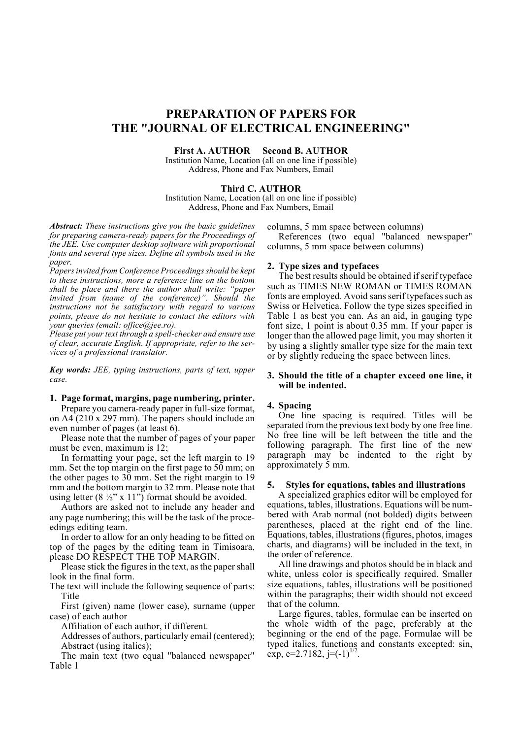# **PREPARATION OF PAPERS FOR THE "JOURNAL OF ELECTRICAL ENGINEERING"**

#### **First A. AUTHOR Second B. AUTHOR**

Institution Name, Location (all on one line if possible) Address, Phone and Fax Numbers, Email

#### **Third C. AUTHOR**

Institution Name, Location (all on one line if possible) Address, Phone and Fax Numbers, Email

*Abstract: These instructions give you the basic guidelines for preparing camera-ready papers for the Proceedings of the JEE. Use computer desktop software with proportional fonts and several type sizes. Define all symbols used in the paper.*

*Papers invited from Conference Proceedings should be kept to these instructions, more a reference line on the bottom shall be place and there the author shall write: "paper invited from (name of the conference)". Should the instructions not be satisfactory with regard to various points, please do not hesitate to contact the editors with your queries (email: office@jee.ro).*

*Please put your text through a spell-checker and ensure use of clear, accurate English. If appropriate, refer to the services of a professional translator.*

*Key words: JEE, typing instructions, parts of text, upper case.*

## **1. Page format, margins, page numbering, printer.**

Prepare you camera-ready paper in full-size format, on A4 (210 x 297 mm). The papers should include an even number of pages (at least 6).

Please note that the number of pages of your paper must be even, maximum is 12;

In formatting your page, set the left margin to 19 mm. Set the top margin on the first page to  $50$  mm; on the other pages to 30 mm. Set the right margin to 19 mm and the bottom margin to 32 mm. Please note that using letter  $(8 \frac{1}{2}$ " x 11") format should be avoided.

Authors are asked not to include any header and any page numbering; this will be the task of the proceedings editing team.

In order to allow for an only heading to be fitted on top of the pages by the editing team in Timisoara, please DO RESPECT THE TOP MARGIN.

Please stick the figures in the text, as the paper shall look in the final form.

The text will include the following sequence of parts: Title

First (given) name (lower case), surname (upper case) of each author

Affiliation of each author, if different.

Addresses of authors, particularly email (centered); Abstract (using italics);

The main text (two equal "balanced newspaper" Table 1

columns, 5 mm space between columns)

References (two equal "balanced newspaper" columns, 5 mm space between columns)

## **2. Type sizes and typefaces**

The best results should be obtained if serif typeface such as TIMES NEW ROMAN or TIMES ROMAN fonts are employed. Avoid sans serif typefaces such as Swiss or Helvetica. Follow the type sizes specified in Table 1 as best you can. As an aid, in gauging type font size, 1 point is about 0.35 mm. If your paper is longer than the allowed page limit, you may shorten it by using a slightly smaller type size for the main text or by slightly reducing the space between lines.

#### **3. Should the title of a chapter exceed one line, it will be indented.**

#### **4. Spacing**

One line spacing is required. Titles will be separated from the previous text body by one free line. No free line will be left between the title and the following paragraph. The first line of the new paragraph may be indented to the right by approximately 5 mm.

### **5. Styles for equations, tables and illustrations**

A specialized graphics editor will be employed for equations, tables, illustrations. Equations will be numbered with Arab normal (not bolded) digits between parentheses, placed at the right end of the line. Equations, tables, illustrations (figures, photos, images charts, and diagrams) will be included in the text, in the order of reference.

All line drawings and photos should be in black and white, unless color is specifically required. Smaller size equations, tables, illustrations will be positioned within the paragraphs; their width should not exceed that of the column.

Large figures, tables, formulae can be inserted on the whole width of the page, preferably at the beginning or the end of the page. Formulae will be typed italics, functions and constants excepted: sin, exp, e=2.7182,  $j=(-1)^{1/2}$ .